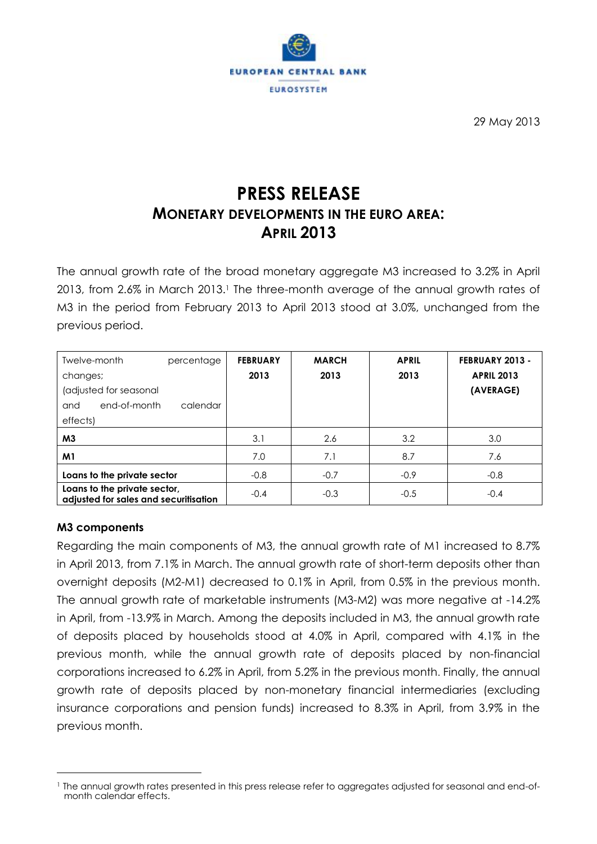

29 May 2013

# **PRESS RELEASE MONETARY DEVELOPMENTS IN THE EURO AREA: APRIL 2013**

The annual growth rate of the broad monetary aggregate M3 increased to 3.2% in April 2013, from 2.6% in March 2013.<sup>1</sup> The three-month average of the annual growth rates of M3 in the period from February 2013 to April 2013 stood at 3.0%, unchanged from the previous period.

| Twelve-month<br>percentage<br>changes;<br>(adjusted for seasonal<br>end-of-month<br>calendar<br>and<br>effects) | <b>FEBRUARY</b><br>2013 | <b>MARCH</b><br>2013 | <b>APRIL</b><br>2013 | FEBRUARY 2013 -<br><b>APRIL 2013</b><br>(AVERAGE) |
|-----------------------------------------------------------------------------------------------------------------|-------------------------|----------------------|----------------------|---------------------------------------------------|
| M3                                                                                                              | 3.1                     | 2.6                  | 3.2                  | 3.0                                               |
| M1                                                                                                              | 7.0                     | 7.1                  | 8.7                  | 7.6                                               |
| Loans to the private sector                                                                                     | $-0.8$                  | $-0.7$               | $-0.9$               | $-0.8$                                            |
| Loans to the private sector,<br>adjusted for sales and securitisation                                           | $-0.4$                  | $-0.3$               | $-0.5$               | $-0.4$                                            |

## **M3 components**

 $\overline{a}$ 

Regarding the main components of M3, the annual growth rate of M1 increased to 8.7% in April 2013, from 7.1% in March. The annual growth rate of short-term deposits other than overnight deposits (M2-M1) decreased to 0.1% in April, from 0.5% in the previous month. The annual growth rate of marketable instruments (M3-M2) was more negative at -14.2% in April, from -13.9% in March. Among the deposits included in M3, the annual growth rate of deposits placed by households stood at 4.0% in April, compared with 4.1% in the previous month, while the annual growth rate of deposits placed by non-financial corporations increased to 6.2% in April, from 5.2% in the previous month. Finally, the annual growth rate of deposits placed by non-monetary financial intermediaries (excluding insurance corporations and pension funds) increased to 8.3% in April, from 3.9% in the previous month.

<sup>&</sup>lt;sup>1</sup> The annual growth rates presented in this press release refer to aggregates adjusted for seasonal and end-ofmonth calendar effects.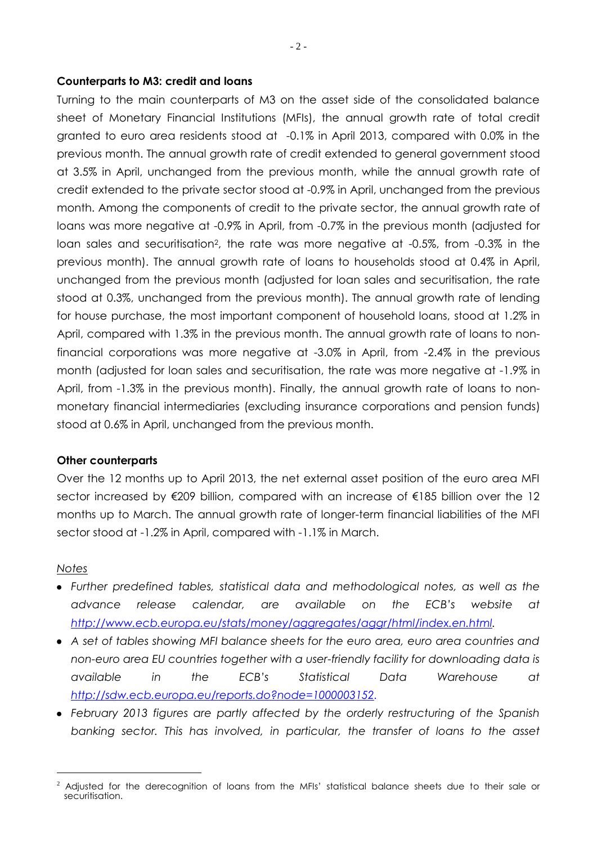#### **Counterparts to M3: credit and loans**

Turning to the main counterparts of M3 on the asset side of the consolidated balance sheet of Monetary Financial Institutions (MFIs), the annual growth rate of total credit granted to euro area residents stood at -0.1% in April 2013, compared with 0.0% in the previous month. The annual growth rate of credit extended to general government stood at 3.5% in April, unchanged from the previous month, while the annual growth rate of credit extended to the private sector stood at -0.9% in April, unchanged from the previous month. Among the components of credit to the private sector, the annual growth rate of loans was more negative at -0.9% in April, from -0.7% in the previous month (adjusted for loan sales and securitisation<sup>2</sup>, the rate was more negative at -0.5%, from -0.3% in the previous month). The annual growth rate of loans to households stood at 0.4% in April, unchanged from the previous month (adjusted for loan sales and securitisation, the rate stood at 0.3%, unchanged from the previous month). The annual growth rate of lending for house purchase, the most important component of household loans, stood at 1.2% in April, compared with 1.3% in the previous month. The annual growth rate of loans to nonfinancial corporations was more negative at -3.0% in April, from -2.4% in the previous month (adjusted for loan sales and securitisation, the rate was more negative at -1.9% in April, from -1.3% in the previous month). Finally, the annual growth rate of loans to nonmonetary financial intermediaries (excluding insurance corporations and pension funds) stood at 0.6% in April, unchanged from the previous month.

#### **Other counterparts**

Over the 12 months up to April 2013, the net external asset position of the euro area MFI sector increased by €209 billion, compared with an increase of €185 billion over the 12 months up to March. The annual growth rate of longer-term financial liabilities of the MFI sector stood at -1.2% in April, compared with -1.1% in March.

#### *Notes*

 $\overline{a}$ 

- *Further predefined tables, statistical data and methodological notes, as well as the advance release calendar, are available on the ECB's website at [http://www.ecb.europa.eu/stats/money/aggregates/aggr/html/index.en.html.](http://www.ecb.europa.eu/stats/money/aggregates/aggr/html/index.en.html)*
- *A set of tables showing MFI balance sheets for the euro area, euro area countries and non-euro area EU countries together with a user-friendly facility for downloading data is available in the ECB's Statistical Data Warehouse at [http://sdw.ecb.europa.eu/reports.do?node=1000003152.](http://sdw.ecb.europa.eu/reports.do?node=1000003152)*
- *February 2013 figures are partly affected by the orderly restructuring of the Spanish banking sector. This has involved, in particular, the transfer of loans to the asset*

 $2$  Adjusted for the derecognition of loans from the MFIs' statistical balance sheets due to their sale or securitisation.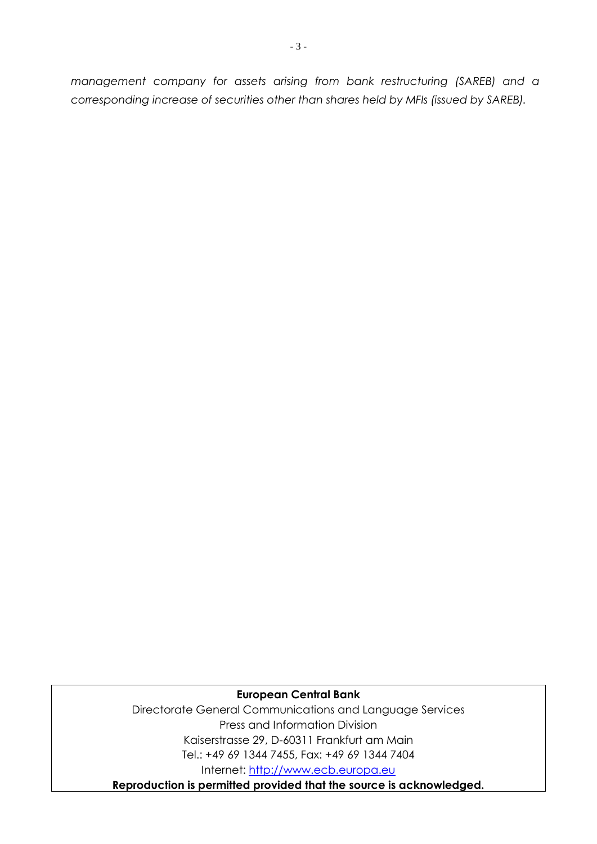*management company for assets arising from bank restructuring (SAREB) and a corresponding increase of securities other than shares held by MFIs (issued by SAREB).* 

## **European Central Bank**

Directorate General Communications and Language Services Press and Information Division Kaiserstrasse 29, D-60311 Frankfurt am Main Tel.: +49 69 1344 7455, Fax: +49 69 1344 7404 Internet: [http://www.ecb.europa.eu](http://www.ecb.europa.eu/)

**Reproduction is permitted provided that the source is acknowledged.**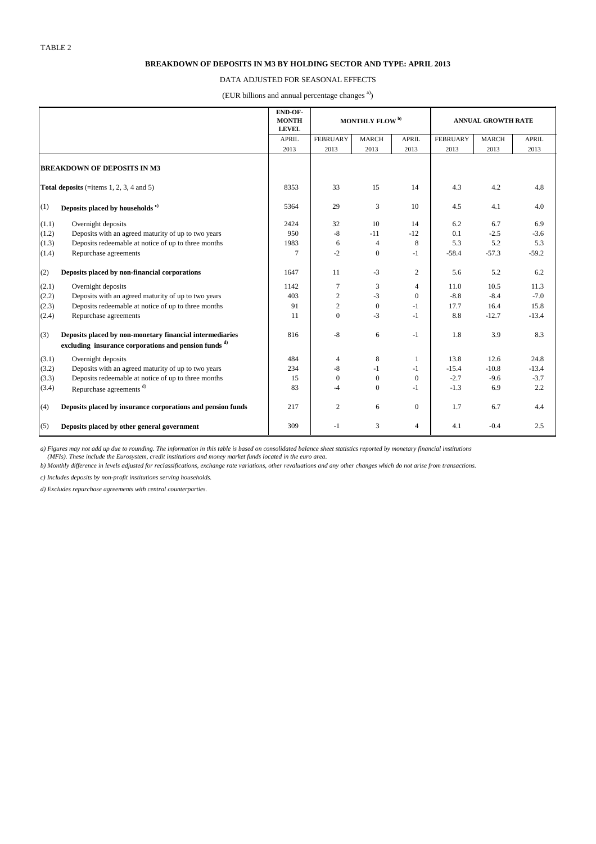|                                                 |                                                                  | END-OF-<br><b>MONTH</b><br><b>LEVEL</b> | MONTHLY FLOW <sup>b)</sup> |                  | <b>ANNUAL GROWTH RATE</b> |                 |              |              |
|-------------------------------------------------|------------------------------------------------------------------|-----------------------------------------|----------------------------|------------------|---------------------------|-----------------|--------------|--------------|
|                                                 |                                                                  | <b>APRIL</b>                            | <b>FEBRUARY</b>            | <b>MARCH</b>     | <b>APRIL</b>              | <b>FEBRUARY</b> | <b>MARCH</b> | <b>APRIL</b> |
|                                                 |                                                                  | 2013                                    | 2013                       | 2013             | 2013                      | 2013            | 2013         | 2013         |
| <b>BREAKDOWN OF DEPOSITS IN M3</b>              |                                                                  |                                         |                            |                  |                           |                 |              |              |
| <b>Total deposits</b> (=items 1, 2, 3, 4 and 5) |                                                                  | 8353                                    | 33                         | 15               | 14                        | 4.3             | 4.2          | 4.8          |
| (1)                                             | Deposits placed by households <sup>c)</sup>                      | 5364                                    | 29                         | 3                | 10                        | 4.5             | 4.1          | 4.0          |
| (1.1)                                           | Overnight deposits                                               | 2424                                    | 32                         | 10               | 14                        | 6.2             | 6.7          | 6.9          |
| (1.2)                                           | Deposits with an agreed maturity of up to two years              | 950                                     | $-8$                       | $-11$            | $-12$                     | 0.1             | $-2.5$       | $-3.6$       |
| (1.3)                                           | Deposits redeemable at notice of up to three months              | 1983                                    | 6                          | $\overline{4}$   | $\,8\,$                   | 5.3             | 5.2          | 5.3          |
| (1.4)                                           | Repurchase agreements                                            | $\overline{7}$                          | $-2$                       | $\overline{0}$   | $-1$                      | $-58.4$         | $-57.3$      | $-59.2$      |
| (2)                                             | Deposits placed by non-financial corporations                    | 1647                                    | 11                         | $-3$             | $\overline{2}$            | 5.6             | 5.2          | 6.2          |
| (2.1)                                           | Overnight deposits                                               | 1142                                    | $\tau$                     | 3                | $\overline{\mathcal{A}}$  | 11.0            | 10.5         | 11.3         |
| (2.2)                                           | Deposits with an agreed maturity of up to two years              | 403                                     | $\overline{2}$             | $-3$             | $\boldsymbol{0}$          | $-8.8$          | $-8.4$       | $-7.0$       |
| (2.3)                                           | Deposits redeemable at notice of up to three months              | 91                                      | $\overline{2}$             | $\mathbf{0}$     | $-1$                      | 17.7            | 16.4         | 15.8         |
| (2.4)                                           | Repurchase agreements                                            | 11                                      | $\boldsymbol{0}$           | $-3$             | $-1$                      | 8.8             | $-12.7$      | $-13.4$      |
| (3)                                             | Deposits placed by non-monetary financial intermediaries         | 816                                     | $-8$                       | 6                | $-1$                      | 1.8             | 3.9          | 8.3          |
|                                                 | excluding insurance corporations and pension funds <sup>d)</sup> |                                         |                            |                  |                           |                 |              |              |
| (3.1)                                           | Overnight deposits                                               | 484                                     | $\overline{4}$             | 8                | $\mathbf{1}$              | 13.8            | 12.6         | 24.8         |
| (3.2)                                           | Deposits with an agreed maturity of up to two years              | 234                                     | $-8$                       | -1               | $-1$                      | $-15.4$         | $-10.8$      | $-13.4$      |
| (3.3)                                           | Deposits redeemable at notice of up to three months              | 15                                      | $\boldsymbol{0}$           | $\overline{0}$   | $\boldsymbol{0}$          | $-2.7$          | $-9.6$       | $-3.7$       |
| (3.4)                                           | Repurchase agreements <sup>d)</sup>                              | 83                                      | $-4$                       | $\boldsymbol{0}$ | $-1$                      | $-1.3$          | 6.9          | 2.2          |
| (4)                                             | Deposits placed by insurance corporations and pension funds      | 217                                     | $\overline{2}$             | 6                | $\overline{0}$            | 1.7             | 6.7          | 4.4          |
| (5)                                             | Deposits placed by other general government                      | 309                                     | $-1$                       | 3                | $\overline{4}$            | 4.1             | $-0.4$       | 2.5          |

#### **BREAKDOWN OF DEPOSITS IN M3 BY HOLDING SECTOR AND TYPE: APRIL 2013**

#### DATA ADJUSTED FOR SEASONAL EFFECTS

(EUR billions and annual percentage changes<sup>a)</sup>)

*a) Figures may not add up due to rounding. The information in this table is based on consolidated balance sheet statistics reported by monetary financial institutions (MFIs). These include the Eurosystem, credit institutions and money market funds located in the euro area.*

*b) Monthly difference in levels adjusted for reclassifications, exchange rate variations, other revaluations and any other changes which do not arise from transactions.*

*c) Includes deposits by non-profit institutions serving households.*

*d) Excludes repurchase agreements with central counterparties.*